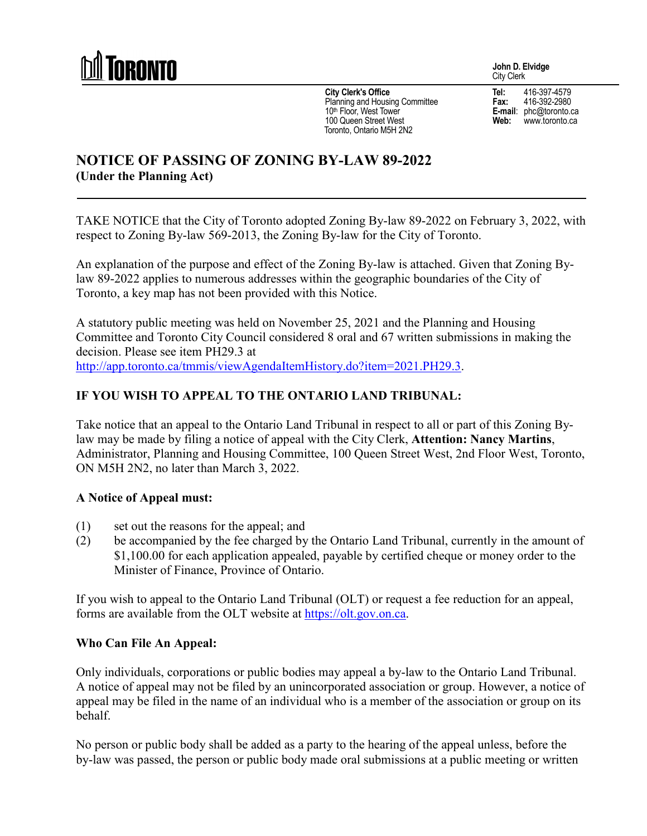

**City Clerk's Office** Planning and Housing Committee 10<sup>th</sup> Floor, West Tower 100 Queen Street West Toronto, Ontario M5H 2N2

**John D. Elvidge** City Clerk

**Tel:** 416-397-4579<br>**Fax:** 416-392-2980 **Fax:** 416-392-2980 **E-mail**: phc@toronto.ca **Web:** www.toronto.ca

# **NOTICE OF PASSING OF ZONING BY-LAW 89-2022 (Under the Planning Act)**

TAKE NOTICE that the City of Toronto adopted Zoning By-law 89-2022 on February 3, 2022, with respect to Zoning By-law 569-2013, the Zoning By-law for the City of Toronto.

An explanation of the purpose and effect of the Zoning By-law is attached. Given that Zoning Bylaw 89-2022 applies to numerous addresses within the geographic boundaries of the City of Toronto, a key map has not been provided with this Notice.

A statutory public meeting was held on November 25, 2021 and the Planning and Housing Committee and Toronto City Council considered 8 oral and 67 written submissions in making the decision. Please see item PH29.3 at [http://app.toronto.ca/tmmis/viewAgendaItemHistory.do?item=2021.PH29.3.](http://app.toronto.ca/tmmis/viewAgendaItemHistory.do?item=2021.PH29.3)

### **IF YOU WISH TO APPEAL TO THE ONTARIO LAND TRIBUNAL:**

Take notice that an appeal to the Ontario Land Tribunal in respect to all or part of this Zoning Bylaw may be made by filing a notice of appeal with the City Clerk, **Attention: Nancy Martins**, Administrator, Planning and Housing Committee, 100 Queen Street West, 2nd Floor West, Toronto, ON M5H 2N2, no later than March 3, 2022.

### **A Notice of Appeal must:**

- (1) set out the reasons for the appeal; and
- (2) be accompanied by the fee charged by the Ontario Land Tribunal, currently in the amount of \$1,100.00 for each application appealed, payable by certified cheque or money order to the Minister of Finance, Province of Ontario.

If you wish to appeal to the Ontario Land Tribunal (OLT) or request a fee reduction for an appeal, forms are available from the OLT website at https://olt.gov.on.ca.

### **Who Can File An Appeal:**

Only individuals, corporations or public bodies may appeal a by-law to the Ontario Land Tribunal. A notice of appeal may not be filed by an unincorporated association or group. However, a notice of appeal may be filed in the name of an individual who is a member of the association or group on its behalf.

No person or public body shall be added as a party to the hearing of the appeal unless, before the by-law was passed, the person or public body made oral submissions at a public meeting or written